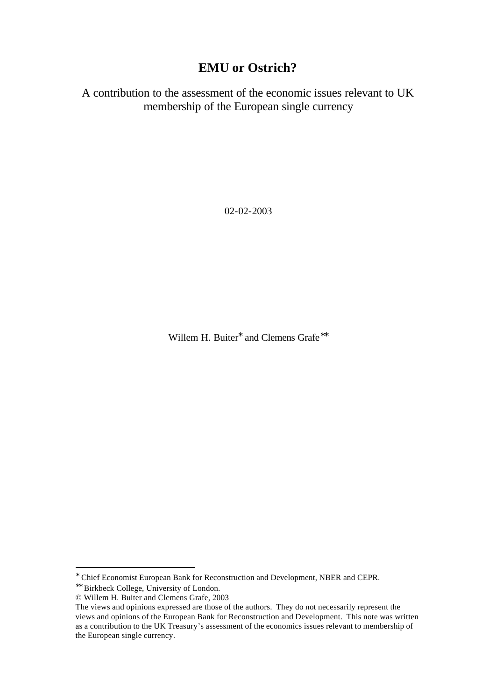## **EMU or Ostrich?**

A contribution to the assessment of the economic issues relevant to UK membership of the European single currency

02-02-2003

Willem H. Buiter<sup>\*</sup> and Clemens Grafe<sup>\*\*</sup>

<sup>∗</sup> Chief Economist European Bank for Reconstruction and Development, NBER and CEPR.

<sup>∗∗</sup> Birkbeck College, University of London.

<sup>©</sup> Willem H. Buiter and Clemens Grafe, 2003

The views and opinions expressed are those of the authors. They do not necessarily represent the views and opinions of the European Bank for Reconstruction and Development. This note was written as a contribution to the UK Treasury's assessment of the economics issues relevant to membership of the European single currency.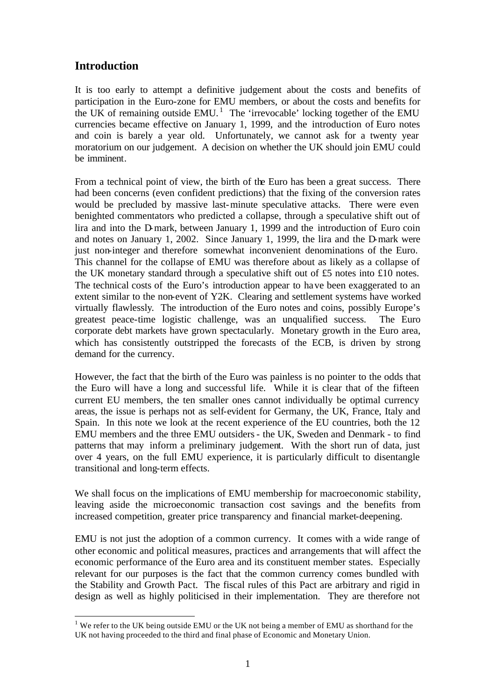## **Introduction**

l

It is too early to attempt a definitive judgement about the costs and benefits of participation in the Euro-zone for EMU members, or about the costs and benefits for the UK of remaining outside  $EMU$ .<sup>1</sup> The 'irrevocable' locking together of the EMU currencies became effective on January 1, 1999, and the introduction of Euro notes and coin is barely a year old. Unfortunately, we cannot ask for a twenty year moratorium on our judgement. A decision on whether the UK should join EMU could be imminent.

From a technical point of view, the birth of the Euro has been a great success. There had been concerns (even confident predictions) that the fixing of the conversion rates would be precluded by massive last-minute speculative attacks. There were even benighted commentators who predicted a collapse, through a speculative shift out of lira and into the D-mark, between January 1, 1999 and the introduction of Euro coin and notes on January 1, 2002. Since January 1, 1999, the lira and the D-mark were just non-integer and therefore somewhat inconvenient denominations of the Euro. This channel for the collapse of EMU was therefore about as likely as a collapse of the UK monetary standard through a speculative shift out of £5 notes into £10 notes. The technical costs of the Euro's introduction appear to have been exaggerated to an extent similar to the non-event of Y2K. Clearing and settlement systems have worked virtually flawlessly. The introduction of the Euro notes and coins, possibly Europe's greatest peace-time logistic challenge, was an unqualified success. The Euro corporate debt markets have grown spectacularly. Monetary growth in the Euro area, which has consistently outstripped the forecasts of the ECB, is driven by strong demand for the currency.

However, the fact that the birth of the Euro was painless is no pointer to the odds that the Euro will have a long and successful life. While it is clear that of the fifteen current EU members, the ten smaller ones cannot individually be optimal currency areas, the issue is perhaps not as self-evident for Germany, the UK, France, Italy and Spain. In this note we look at the recent experience of the EU countries, both the 12 EMU members and the three EMU outsiders- the UK, Sweden and Denmark - to find patterns that may inform a preliminary judgement. With the short run of data, just over 4 years, on the full EMU experience, it is particularly difficult to disentangle transitional and long-term effects.

We shall focus on the implications of EMU membership for macroeconomic stability, leaving aside the microeconomic transaction cost savings and the benefits from increased competition, greater price transparency and financial market-deepening.

EMU is not just the adoption of a common currency. It comes with a wide range of other economic and political measures, practices and arrangements that will affect the economic performance of the Euro area and its constituent member states. Especially relevant for our purposes is the fact that the common currency comes bundled with the Stability and Growth Pact. The fiscal rules of this Pact are arbitrary and rigid in design as well as highly politicised in their implementation. They are therefore not

<sup>&</sup>lt;sup>1</sup> We refer to the UK being outside EMU or the UK not being a member of EMU as shorthand for the UK not having proceeded to the third and final phase of Economic and Monetary Union.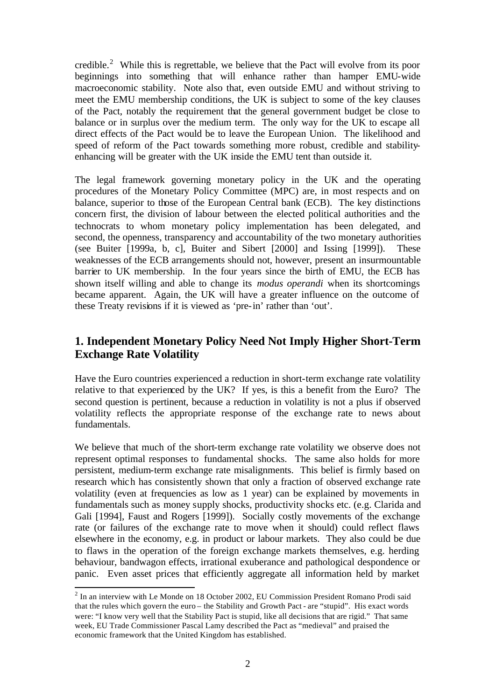credible.<sup>2</sup> While this is regrettable, we believe that the Pact will evolve from its poor beginnings into something that will enhance rather than hamper EMU-wide macroeconomic stability. Note also that, even outside EMU and without striving to meet the EMU membership conditions, the UK is subject to some of the key clauses of the Pact, notably the requirement that the general government budget be close to balance or in surplus over the medium term. The only way for the UK to escape all direct effects of the Pact would be to leave the European Union. The likelihood and speed of reform of the Pact towards something more robust, credible and stabilityenhancing will be greater with the UK inside the EMU tent than outside it.

The legal framework governing monetary policy in the UK and the operating procedures of the Monetary Policy Committee (MPC) are, in most respects and on balance, superior to those of the European Central bank (ECB). The key distinctions concern first, the division of labour between the elected political authorities and the technocrats to whom monetary policy implementation has been delegated, and second, the openness, transparency and accountability of the two monetary authorities (see Buiter [1999a, b, c], Buiter and Sibert [2000] and Issing [1999]). These weaknesses of the ECB arrangements should not, however, present an insurmountable barrier to UK membership. In the four years since the birth of EMU, the ECB has shown itself willing and able to change its *modus operandi* when its shortcomings became apparent. Again, the UK will have a greater influence on the outcome of these Treaty revisions if it is viewed as 'pre-in' rather than 'out'.

## **1. Independent Monetary Policy Need Not Imply Higher Short-Term Exchange Rate Volatility**

Have the Euro countries experienced a reduction in short-term exchange rate volatility relative to that experienced by the UK? If yes, is this a benefit from the Euro? The second question is pertinent, because a reduction in volatility is not a plus if observed volatility reflects the appropriate response of the exchange rate to news about fundamentals.

We believe that much of the short-term exchange rate volatility we observe does not represent optimal responses to fundamental shocks. The same also holds for more persistent, medium-term exchange rate misalignments. This belief is firmly based on research which has consistently shown that only a fraction of observed exchange rate volatility (even at frequencies as low as 1 year) can be explained by movements in fundamentals such as money supply shocks, productivity shocks etc. (e.g. Clarida and Gali [1994], Faust and Rogers [1999]). Socially costly movements of the exchange rate (or failures of the exchange rate to move when it should) could reflect flaws elsewhere in the economy, e.g. in product or labour markets. They also could be due to flaws in the operation of the foreign exchange markets themselves, e.g. herding behaviour, bandwagon effects, irrational exuberance and pathological despondence or panic. Even asset prices that efficiently aggregate all information held by market

 $2$  In an interview with Le Monde on 18 October 2002, EU Commission President Romano Prodi said that the rules which govern the euro – the Stability and Growth Pact - are "stupid". His exact words were: "I know very well that the Stability Pact is stupid, like all decisions that are rigid." That same week, EU Trade Commissioner Pascal Lamy described the Pact as "medieval" and praised the economic framework that the United Kingdom has established.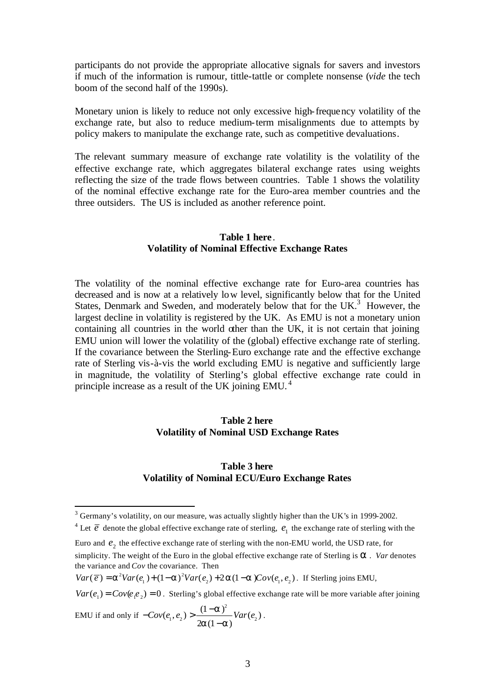participants do not provide the appropriate allocative signals for savers and investors if much of the information is rumour, tittle-tattle or complete nonsense (*vide* the tech boom of the second half of the 1990s).

Monetary union is likely to reduce not only excessive high-frequency volatility of the exchange rate, but also to reduce medium-term misalignments due to attempts by policy makers to manipulate the exchange rate, such as competitive devaluations.

The relevant summary measure of exchange rate volatility is the volatility of the effective exchange rate, which aggregates bilateral exchange rates using weights reflecting the size of the trade flows between countries. Table 1 shows the volatility of the nominal effective exchange rate for the Euro-area member countries and the three outsiders. The US is included as another reference point.

#### **Table 1 here**. **Volatility of Nominal Effective Exchange Rates**

The volatility of the nominal effective exchange rate for Euro-area countries has decreased and is now at a relatively low level, significantly below that for the United States, Denmark and Sweden, and moderately below that for the UK. $3$  However, the largest decline in volatility is registered by the UK. As EMU is not a monetary union containing all countries in the world other than the UK, it is not certain that joining EMU union will lower the volatility of the (global) effective exchange rate of sterling. If the covariance between the Sterling-Euro exchange rate and the effective exchange rate of Sterling vis-à-vis the world excluding EMU is negative and sufficiently large in magnitude, the volatility of Sterling's global effective exchange rate could in principle increase as a result of the UK joining EMU. <sup>4</sup>

#### **Table 2 here Volatility of Nominal USD Exchange Rates**

#### **Table 3 here Volatility of Nominal ECU/Euro Exchange Rates**

 $Var(e_1) = Cov(e_1e_2) = 0$ . Sterling's global effective exchange rate will be more variable after joining

EMU if and only if 2  $1, \frac{1}{2}$  2 2  $\frac{1}{2}$  2  $\frac{1}{2}$  $(e_1, e_2) > \frac{(1 - a)^2}{2}Var(e_2)$  $2a(1 - a)$  $Cov(e_1, e_2) > \frac{(1-a)^2}{2}Var(e_1)$  $a(1-a)$  $-Cov(e_1, e_2) > \frac{(1 -$ − .

<sup>&</sup>lt;sup>3</sup> Germany's volatility, on our measure, was actually slightly higher than the UK's in 1999-2002.

<sup>&</sup>lt;sup>4</sup> Let  $\vec{e}$  denote the global effective exchange rate of sterling,  $e_1$  the exchange rate of sterling with the

Euro and  $e_2$  the effective exchange rate of sterling with the non-EMU world, the USD rate, for simplicity. The weight of the Euro in the global effective exchange rate of Sterling is *a* . *Var* denotes the variance and *Cov* the covariance. Then

 $Var(\overline{e}) = \mathbf{a}^2 Var(e_1) + (1-\mathbf{a})^2 Var(e_2) + 2\mathbf{a}(1-\mathbf{a})Cov(e_1, e_2)$ . If Sterling joins EMU,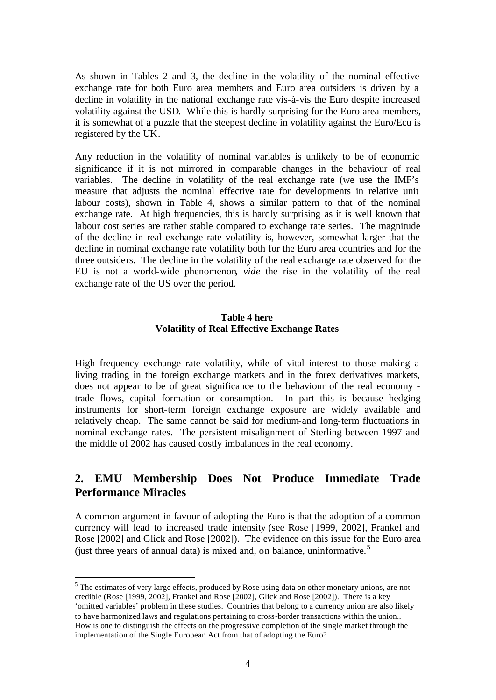As shown in Tables 2 and 3, the decline in the volatility of the nominal effective exchange rate for both Euro area members and Euro area outsiders is driven by a decline in volatility in the national exchange rate vis-à-vis the Euro despite increased volatility against the USD. While this is hardly surprising for the Euro area members, it is somewhat of a puzzle that the steepest decline in volatility against the Euro/Ecu is registered by the UK.

Any reduction in the volatility of nominal variables is unlikely to be of economic significance if it is not mirrored in comparable changes in the behaviour of real variables. The decline in volatility of the real exchange rate (we use the IMF's measure that adjusts the nominal effective rate for developments in relative unit labour costs), shown in Table 4, shows a similar pattern to that of the nominal exchange rate. At high frequencies, this is hardly surprising as it is well known that labour cost series are rather stable compared to exchange rate series. The magnitude of the decline in real exchange rate volatility is, however, somewhat larger that the decline in nominal exchange rate volatility both for the Euro area countries and for the three outsiders. The decline in the volatility of the real exchange rate observed for the EU is not a world-wide phenomenon, *vide* the rise in the volatility of the real exchange rate of the US over the period.

#### **Table 4 here Volatility of Real Effective Exchange Rates**

High frequency exchange rate volatility, while of vital interest to those making a living trading in the foreign exchange markets and in the forex derivatives markets, does not appear to be of great significance to the behaviour of the real economy trade flows, capital formation or consumption. In part this is because hedging instruments for short-term foreign exchange exposure are widely available and relatively cheap. The same cannot be said for medium-and long-term fluctuations in nominal exchange rates. The persistent misalignment of Sterling between 1997 and the middle of 2002 has caused costly imbalances in the real economy.

## **2. EMU Membership Does Not Produce Immediate Trade Performance Miracles**

A common argument in favour of adopting the Euro is that the adoption of a common currency will lead to increased trade intensity (see Rose [1999, 2002], Frankel and Rose [2002] and Glick and Rose [2002]). The evidence on this issue for the Euro area (just three years of annual data) is mixed and, on balance, uninformative.<sup>5</sup>

 $<sup>5</sup>$  The estimates of very large effects, produced by Rose using data on other monetary unions, are not</sup> credible (Rose [1999, 2002], Frankel and Rose [2002], Glick and Rose [2002]). There is a key 'omitted variables' problem in these studies. Countries that belong to a currency union are also likely to have harmonized laws and regulations pertaining to cross-border transactions within the union.. How is one to distinguish the effects on the progressive completion of the single market through the implementation of the Single European Act from that of adopting the Euro?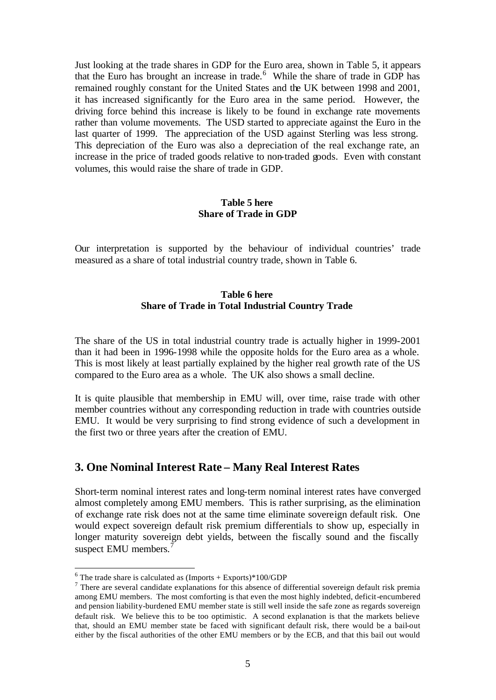Just looking at the trade shares in GDP for the Euro area, shown in Table 5, it appears that the Euro has brought an increase in trade.<sup>6</sup> While the share of trade in GDP has remained roughly constant for the United States and the UK between 1998 and 2001, it has increased significantly for the Euro area in the same period. However, the driving force behind this increase is likely to be found in exchange rate movements rather than volume movements. The USD started to appreciate against the Euro in the last quarter of 1999. The appreciation of the USD against Sterling was less strong. This depreciation of the Euro was also a depreciation of the real exchange rate, an increase in the price of traded goods relative to non-traded goods. Even with constant volumes, this would raise the share of trade in GDP.

#### **Table 5 here Share of Trade in GDP**

Our interpretation is supported by the behaviour of individual countries' trade measured as a share of total industrial country trade, shown in Table 6.

#### **Table 6 here Share of Trade in Total Industrial Country Trade**

The share of the US in total industrial country trade is actually higher in 1999-2001 than it had been in 1996-1998 while the opposite holds for the Euro area as a whole. This is most likely at least partially explained by the higher real growth rate of the US compared to the Euro area as a whole. The UK also shows a small decline.

It is quite plausible that membership in EMU will, over time, raise trade with other member countries without any corresponding reduction in trade with countries outside EMU. It would be very surprising to find strong evidence of such a development in the first two or three years after the creation of EMU.

### **3. One Nominal Interest Rate – Many Real Interest Rates**

Short-term nominal interest rates and long-term nominal interest rates have converged almost completely among EMU members. This is rather surprising, as the elimination of exchange rate risk does not at the same time eliminate sovereign default risk. One would expect sovereign default risk premium differentials to show up, especially in longer maturity sovereign debt yields, between the fiscally sound and the fiscally suspect EMU members. $^7$ 

 $6$  The trade share is calculated as (Imports + Exports)\*100/GDP

 $<sup>7</sup>$  There are several candidate explanations for this absence of differential sovereign default risk premia</sup> among EMU members. The most comforting is that even the most highly indebted, deficit-encumbered and pension liability-burdened EMU member state is still well inside the safe zone as regards sovereign default risk. We believe this to be too optimistic. A second explanation is that the markets believe that, should an EMU member state be faced with significant default risk, there would be a bail-out either by the fiscal authorities of the other EMU members or by the ECB, and that this bail out would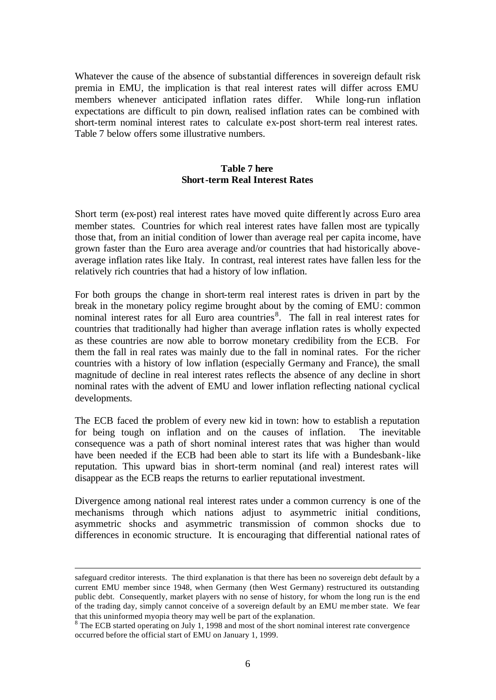Whatever the cause of the absence of substantial differences in sovereign default risk premia in EMU, the implication is that real interest rates will differ across EMU members whenever anticipated inflation rates differ. While long-run inflation expectations are difficult to pin down, realised inflation rates can be combined with short-term nominal interest rates to calculate ex-post short-term real interest rates. Table 7 below offers some illustrative numbers.

### **Table 7 here Short-term Real Interest Rates**

Short term (ex-post) real interest rates have moved quite differently across Euro area member states. Countries for which real interest rates have fallen most are typically those that, from an initial condition of lower than average real per capita income, have grown faster than the Euro area average and/or countries that had historically aboveaverage inflation rates like Italy. In contrast, real interest rates have fallen less for the relatively rich countries that had a history of low inflation.

For both groups the change in short-term real interest rates is driven in part by the break in the monetary policy regime brought about by the coming of EMU: common nominal interest rates for all Euro area countries<sup>8</sup>. The fall in real interest rates for countries that traditionally had higher than average inflation rates is wholly expected as these countries are now able to borrow monetary credibility from the ECB. For them the fall in real rates was mainly due to the fall in nominal rates. For the richer countries with a history of low inflation (especially Germany and France), the small magnitude of decline in real interest rates reflects the absence of any decline in short nominal rates with the advent of EMU and lower inflation reflecting national cyclical developments.

The ECB faced the problem of every new kid in town: how to establish a reputation for being tough on inflation and on the causes of inflation. The inevitable consequence was a path of short nominal interest rates that was higher than would have been needed if the ECB had been able to start its life with a Bundesbank-like reputation. This upward bias in short-term nominal (and real) interest rates will disappear as the ECB reaps the returns to earlier reputational investment.

Divergence among national real interest rates under a common currency is one of the mechanisms through which nations adjust to asymmetric initial conditions, asymmetric shocks and asymmetric transmission of common shocks due to differences in economic structure. It is encouraging that differential national rates of

safeguard creditor interests. The third explanation is that there has been no sovereign debt default by a current EMU member since 1948, when Germany (then West Germany) restructured its outstanding public debt. Consequently, market players with no sense of history, for whom the long run is the end of the trading day, simply cannot conceive of a sovereign default by an EMU me mber state. We fear that this uninformed myopia theory may well be part of the explanation.

<sup>&</sup>lt;sup>8</sup> The ECB started operating on July 1, 1998 and most of the short nominal interest rate convergence occurred before the official start of EMU on January 1, 1999.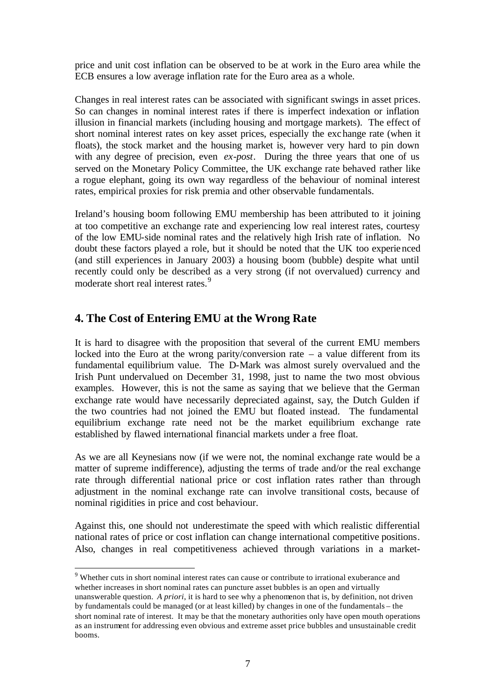price and unit cost inflation can be observed to be at work in the Euro area while the ECB ensures a low average inflation rate for the Euro area as a whole.

Changes in real interest rates can be associated with significant swings in asset prices. So can changes in nominal interest rates if there is imperfect indexation or inflation illusion in financial markets (including housing and mortgage markets). The effect of short nominal interest rates on key asset prices, especially the exchange rate (when it floats), the stock market and the housing market is, however very hard to pin down with any degree of precision, even *ex-post*. During the three years that one of us served on the Monetary Policy Committee, the UK exchange rate behaved rather like a rogue elephant, going its own way regardless of the behaviour of nominal interest rates, empirical proxies for risk premia and other observable fundamentals.

Ireland's housing boom following EMU membership has been attributed to it joining at too competitive an exchange rate and experiencing low real interest rates, courtesy of the low EMU-side nominal rates and the relatively high Irish rate of inflation. No doubt these factors played a role, but it should be noted that the UK too experienced (and still experiences in January 2003) a housing boom (bubble) despite what until recently could only be described as a very strong (if not overvalued) currency and moderate short real interest rates.<sup>9</sup>

## **4. The Cost of Entering EMU at the Wrong Rate**

l

It is hard to disagree with the proposition that several of the current EMU members locked into the Euro at the wrong parity/conversion rate  $-$  a value different from its fundamental equilibrium value. The D-Mark was almost surely overvalued and the Irish Punt undervalued on December 31, 1998, just to name the two most obvious examples. However, this is not the same as saying that we believe that the German exchange rate would have necessarily depreciated against, say, the Dutch Gulden if the two countries had not joined the EMU but floated instead. The fundamental equilibrium exchange rate need not be the market equilibrium exchange rate established by flawed international financial markets under a free float.

As we are all Keynesians now (if we were not, the nominal exchange rate would be a matter of supreme indifference), adjusting the terms of trade and/or the real exchange rate through differential national price or cost inflation rates rather than through adjustment in the nominal exchange rate can involve transitional costs, because of nominal rigidities in price and cost behaviour.

Against this, one should not underestimate the speed with which realistic differential national rates of price or cost inflation can change international competitive positions. Also, changes in real competitiveness achieved through variations in a market-

<sup>9</sup> Whether cuts in short nominal interest rates can cause or contribute to irrational exuberance and whether increases in short nominal rates can puncture asset bubbles is an open and virtually unanswerable question. *A priori*, it is hard to see why a phenomenon that is, by definition, not driven by fundamentals could be managed (or at least killed) by changes in one of the fundamentals – the short nominal rate of interest. It may be that the monetary authorities only have open mouth operations as an instrument for addressing even obvious and extreme asset price bubbles and unsustainable credit booms.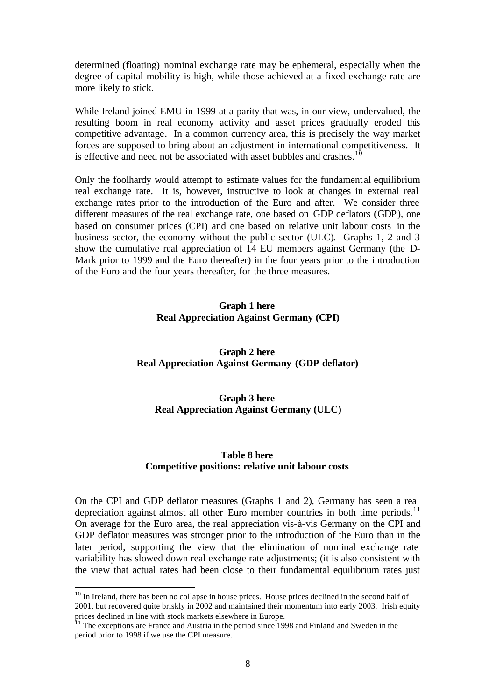determined (floating) nominal exchange rate may be ephemeral, especially when the degree of capital mobility is high, while those achieved at a fixed exchange rate are more likely to stick.

While Ireland joined EMU in 1999 at a parity that was, in our view, undervalued, the resulting boom in real economy activity and asset prices gradually eroded this competitive advantage. In a common currency area, this is precisely the way market forces are supposed to bring about an adjustment in international competitiveness. It is effective and need not be associated with asset bubbles and crashes.<sup>10</sup>

Only the foolhardy would attempt to estimate values for the fundament al equilibrium real exchange rate. It is, however, instructive to look at changes in external real exchange rates prior to the introduction of the Euro and after. We consider three different measures of the real exchange rate, one based on GDP deflators (GDP), one based on consumer prices (CPI) and one based on relative unit labour costs in the business sector, the economy without the public sector (ULC). Graphs 1, 2 and 3 show the cumulative real appreciation of 14 EU members against Germany (the D-Mark prior to 1999 and the Euro thereafter) in the four years prior to the introduction of the Euro and the four years thereafter, for the three measures.

### **Graph 1 here Real Appreciation Against Germany (CPI)**

**Graph 2 here Real Appreciation Against Germany (GDP deflator)**

### **Graph 3 here Real Appreciation Against Germany (ULC)**

#### **Table 8 here Competitive positions: relative unit labour costs**

On the CPI and GDP deflator measures (Graphs 1 and 2), Germany has seen a real depreciation against almost all other Euro member countries in both time periods.<sup>11</sup> On average for the Euro area, the real appreciation vis-à-vis Germany on the CPI and GDP deflator measures was stronger prior to the introduction of the Euro than in the later period, supporting the view that the elimination of nominal exchange rate variability has slowed down real exchange rate adjustments; (it is also consistent with the view that actual rates had been close to their fundamental equilibrium rates just

 $10$  In Ireland, there has been no collapse in house prices. House prices declined in the second half of 2001, but recovered quite briskly in 2002 and maintained their momentum into early 2003. Irish equity prices declined in line with stock markets elsewhere in Europe.

 $11$  The exceptions are France and Austria in the period since 1998 and Finland and Sweden in the period prior to 1998 if we use the CPI measure.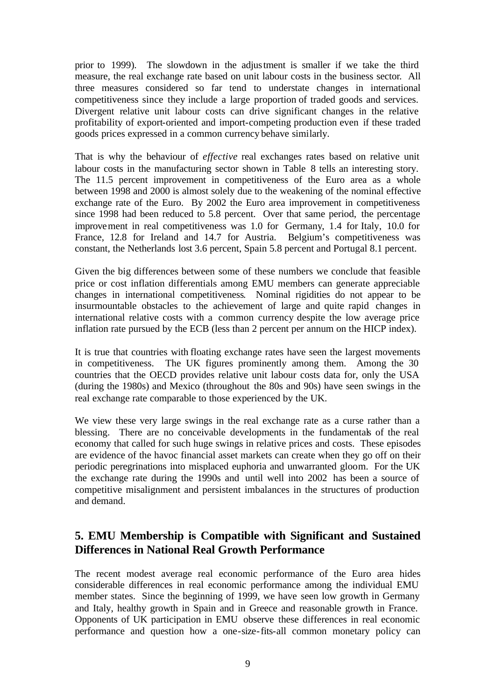prior to 1999). The slowdown in the adjustment is smaller if we take the third measure, the real exchange rate based on unit labour costs in the business sector. All three measures considered so far tend to understate changes in international competitiveness since they include a large proportion of traded goods and services. Divergent relative unit labour costs can drive significant changes in the relative profitability of export-oriented and import-competing production even if these traded goods prices expressed in a common currency behave similarly.

That is why the behaviour of *effective* real exchanges rates based on relative unit labour costs in the manufacturing sector shown in Table 8 tells an interesting story. The 11.5 percent improvement in competitiveness of the Euro area as a whole between 1998 and 2000 is almost solely due to the weakening of the nominal effective exchange rate of the Euro. By 2002 the Euro area improvement in competitiveness since 1998 had been reduced to 5.8 percent. Over that same period, the percentage improvement in real competitiveness was 1.0 for Germany, 1.4 for Italy, 10.0 for France, 12.8 for Ireland and 14.7 for Austria. Belgium's competitiveness was constant, the Netherlands lost 3.6 percent, Spain 5.8 percent and Portugal 8.1 percent.

Given the big differences between some of these numbers we conclude that feasible price or cost inflation differentials among EMU members can generate appreciable changes in international competitiveness. Nominal rigidities do not appear to be insurmountable obstacles to the achievement of large and quite rapid changes in international relative costs with a common currency despite the low average price inflation rate pursued by the ECB (less than 2 percent per annum on the HICP index).

It is true that countries with floating exchange rates have seen the largest movements in competitiveness. The UK figures prominently among them. Among the 30 countries that the OECD provides relative unit labour costs data for, only the USA (during the 1980s) and Mexico (throughout the 80s and 90s) have seen swings in the real exchange rate comparable to those experienced by the UK.

We view these very large swings in the real exchange rate as a curse rather than a blessing. There are no conceivable developments in the fundamentals of the real economy that called for such huge swings in relative prices and costs. These episodes are evidence of the havoc financial asset markets can create when they go off on their periodic peregrinations into misplaced euphoria and unwarranted gloom. For the UK the exchange rate during the 1990s and until well into 2002 has been a source of competitive misalignment and persistent imbalances in the structures of production and demand.

## **5. EMU Membership is Compatible with Significant and Sustained Differences in National Real Growth Performance**

The recent modest average real economic performance of the Euro area hides considerable differences in real economic performance among the individual EMU member states. Since the beginning of 1999, we have seen low growth in Germany and Italy, healthy growth in Spain and in Greece and reasonable growth in France. Opponents of UK participation in EMU observe these differences in real economic performance and question how a one-size-fits-all common monetary policy can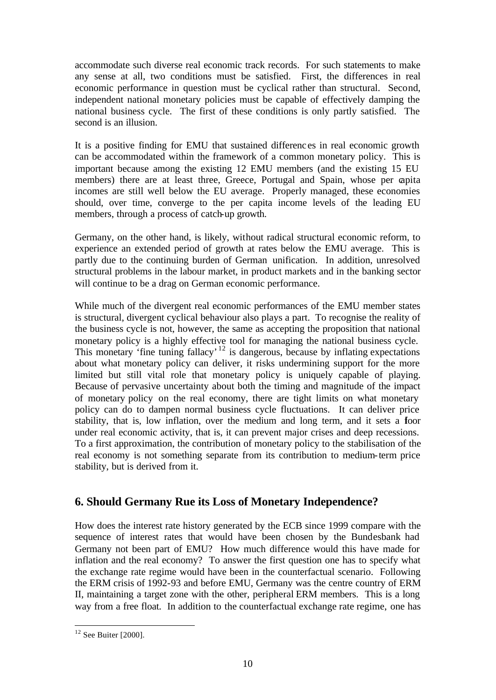accommodate such diverse real economic track records. For such statements to make any sense at all, two conditions must be satisfied. First, the differences in real economic performance in question must be cyclical rather than structural. Second, independent national monetary policies must be capable of effectively damping the national business cycle. The first of these conditions is only partly satisfied. The second is an illusion.

It is a positive finding for EMU that sustained differenc es in real economic growth can be accommodated within the framework of a common monetary policy. This is important because among the existing 12 EMU members (and the existing 15 EU members) there are at least three, Greece, Portugal and Spain, whose per capita incomes are still well below the EU average. Properly managed, these economies should, over time, converge to the per capita income levels of the leading EU members, through a process of catch-up growth.

Germany, on the other hand, is likely, without radical structural economic reform, to experience an extended period of growth at rates below the EMU average. This is partly due to the continuing burden of German unification. In addition, unresolved structural problems in the labour market, in product markets and in the banking sector will continue to be a drag on German economic performance.

While much of the divergent real economic performances of the EMU member states is structural, divergent cyclical behaviour also plays a part. To recognise the reality of the business cycle is not, however, the same as accepting the proposition that national monetary policy is a highly effective tool for managing the national business cycle. This monetary 'fine tuning fallacy'<sup>12</sup> is dangerous, because by inflating expectations about what monetary policy can deliver, it risks undermining support for the more limited but still vital role that monetary policy is uniquely capable of playing. Because of pervasive uncertainty about both the timing and magnitude of the impact of monetary policy on the real economy, there are tight limits on what monetary policy can do to dampen normal business cycle fluctuations. It can deliver price stability, that is, low inflation, over the medium and long term, and it sets a foor under real economic activity, that is, it can prevent major crises and deep recessions. To a first approximation, the contribution of monetary policy to the stabilisation of the real economy is not something separate from its contribution to medium-term price stability, but is derived from it.

## **6. Should Germany Rue its Loss of Monetary Independence?**

How does the interest rate history generated by the ECB since 1999 compare with the sequence of interest rates that would have been chosen by the Bundesbank had Germany not been part of EMU? How much difference would this have made for inflation and the real economy? To answer the first question one has to specify what the exchange rate regime would have been in the counterfactual scenario. Following the ERM crisis of 1992-93 and before EMU, Germany was the centre country of ERM II, maintaining a target zone with the other, peripheral ERM members. This is a long way from a free float. In addition to the counterfactual exchange rate regime, one has

l  $12$  See Buiter [2000].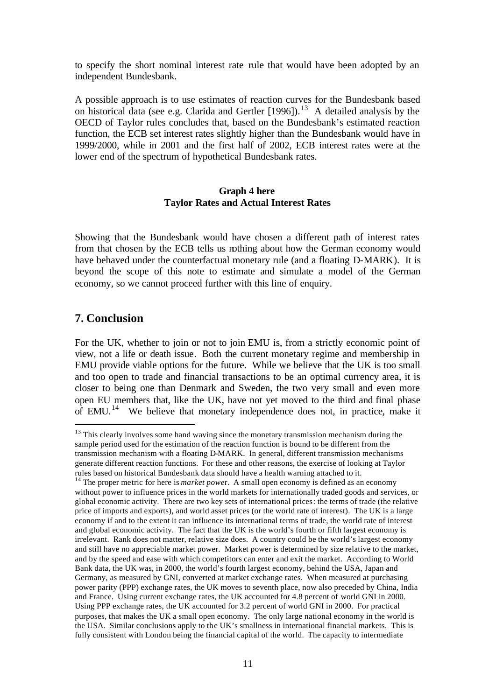to specify the short nominal interest rate rule that would have been adopted by an independent Bundesbank.

A possible approach is to use estimates of reaction curves for the Bundesbank based on historical data (see e.g. Clarida and Gertler [1996]).<sup>13</sup> A detailed analysis by the OECD of Taylor rules concludes that, based on the Bundesbank's estimated reaction function, the ECB set interest rates slightly higher than the Bundesbank would have in 1999/2000, while in 2001 and the first half of 2002, ECB interest rates were at the lower end of the spectrum of hypothetical Bundesbank rates.

#### **Graph 4 here Taylor Rates and Actual Interest Rates**

Showing that the Bundesbank would have chosen a different path of interest rates from that chosen by the ECB tells us nothing about how the German economy would have behaved under the counterfactual monetary rule (and a floating D-MARK). It is beyond the scope of this note to estimate and simulate a model of the German economy, so we cannot proceed further with this line of enquiry.

## **7. Conclusion**

j

For the UK, whether to join or not to join EMU is, from a strictly economic point of view, not a life or death issue. Both the current monetary regime and membership in EMU provide viable options for the future. While we believe that the UK is too small and too open to trade and financial transactions to be an optimal currency area, it is closer to being one than Denmark and Sweden, the two very small and even more open EU members that, like the UK, have not yet moved to the third and final phase of EMU.<sup>14</sup> We believe that monetary independence does not, in practice, make it

<sup>&</sup>lt;sup>13</sup> This clearly involves some hand waving since the monetary transmission mechanism during the sample period used for the estimation of the reaction function is bound to be different from the transmission mechanism with a floating D-MARK. In general, different transmission mechanisms generate different reaction functions. For these and other reasons, the exercise of looking at Taylor rules based on historical Bundesbank data should have a health warning attached to it.

<sup>&</sup>lt;sup>14</sup> The proper metric for here is *market power*. A small open economy is defined as an economy without power to influence prices in the world markets for internationally traded goods and services, or global economic activity. There are two key sets of international prices: the terms of trade (the relative price of imports and exports), and world asset prices (or the world rate of interest). The UK is a large economy if and to the extent it can influence its international terms of trade, the world rate of interest and global economic activity. The fact that the UK is the world's fourth or fifth largest economy is irrelevant. Rank does not matter, relative size does. A country could be the world's largest economy and still have no appreciable market power. Market power is determined by size relative to the market, and by the speed and ease with which competitors can enter and exit the market. According to World Bank data, the UK was, in 2000, the world's fourth largest economy, behind the USA, Japan and Germany, as measured by GNI, converted at market exchange rates. When measured at purchasing power parity (PPP) exchange rates, the UK moves to seventh place, now also preceded by China, India and France. Using current exchange rates, the UK accounted for 4.8 percent of world GNI in 2000. Using PPP exchange rates, the UK accounted for 3.2 percent of world GNI in 2000. For practical purposes, that makes the UK a small open economy. The only large national economy in the world is the USA. Similar conclusions apply to the UK's smallness in international financial markets. This is fully consistent with London being the financial capital of the world. The capacity to intermediate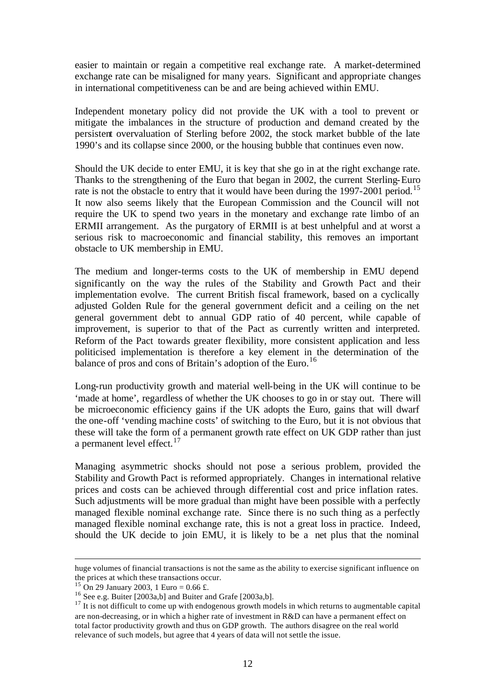easier to maintain or regain a competitive real exchange rate. A market-determined exchange rate can be misaligned for many years. Significant and appropriate changes in international competitiveness can be and are being achieved within EMU.

Independent monetary policy did not provide the UK with a tool to prevent or mitigate the imbalances in the structure of production and demand created by the persistent overvaluation of Sterling before 2002, the stock market bubble of the late 1990's and its collapse since 2000, or the housing bubble that continues even now.

Should the UK decide to enter EMU, it is key that she go in at the right exchange rate. Thanks to the strengthening of the Euro that began in 2002, the current Sterling-Euro rate is not the obstacle to entry that it would have been during the 1997-2001 period.<sup>15</sup> It now also seems likely that the European Commission and the Council will not require the UK to spend two years in the monetary and exchange rate limbo of an ERMII arrangement. As the purgatory of ERMII is at best unhelpful and at worst a serious risk to macroeconomic and financial stability, this removes an important obstacle to UK membership in EMU.

The medium and longer-terms costs to the UK of membership in EMU depend significantly on the way the rules of the Stability and Growth Pact and their implementation evolve. The current British fiscal framework, based on a cyclically adjusted Golden Rule for the general government deficit and a ceiling on the net general government debt to annual GDP ratio of 40 percent, while capable of improvement, is superior to that of the Pact as currently written and interpreted. Reform of the Pact towards greater flexibility, more consistent application and less politicised implementation is therefore a key element in the determination of the balance of pros and cons of Britain's adoption of the Euro.<sup>16</sup>

Long-run productivity growth and material well-being in the UK will continue to be 'made at home', regardless of whether the UK chooses to go in or stay out. There will be microeconomic efficiency gains if the UK adopts the Euro, gains that will dwarf the one-off 'vending machine costs' of switching to the Euro, but it is not obvious that these will take the form of a permanent growth rate effect on UK GDP rather than just a permanent level effect.<sup>17</sup>

Managing asymmetric shocks should not pose a serious problem, provided the Stability and Growth Pact is reformed appropriately. Changes in international relative prices and costs can be achieved through differential cost and price inflation rates. Such adjustments will be more gradual than might have been possible with a perfectly managed flexible nominal exchange rate. Since there is no such thing as a perfectly managed flexible nominal exchange rate, this is not a great loss in practice. Indeed, should the UK decide to join EMU, it is likely to be a net plus that the nominal

huge volumes of financial transactions is not the same as the ability to exercise significant influence on the prices at which these transactions occur.

 $15$  On 29 January 2003, 1 Euro = 0.66 £.

<sup>&</sup>lt;sup>16</sup> See e.g. Buiter  $[2003a,b]$  and Buiter and Grafe  $[2003a,b]$ .

 $17$  It is not difficult to come up with endogenous growth models in which returns to augmentable capital are non-decreasing, or in which a higher rate of investment in R&D can have a permanent effect on total factor productivity growth and thus on GDP growth. The authors disagree on the real world relevance of such models, but agree that 4 years of data will not settle the issue.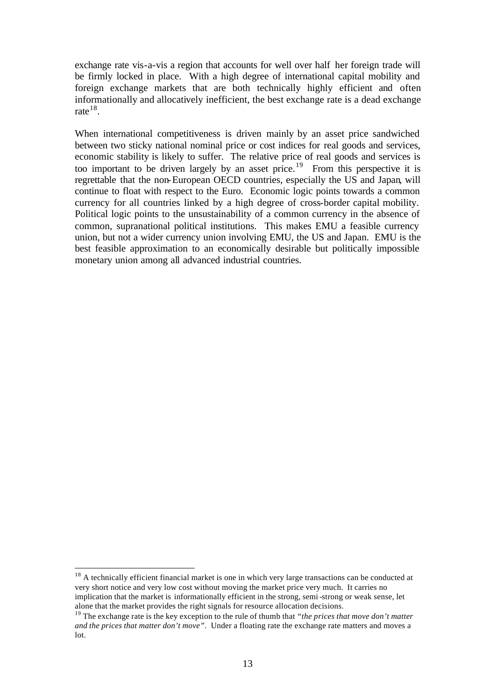exchange rate vis-a-vis a region that accounts for well over half her foreign trade will be firmly locked in place. With a high degree of international capital mobility and foreign exchange markets that are both technically highly efficient and often informationally and allocatively inefficient, the best exchange rate is a dead exchange rate  $^{18}$ .

When international competitiveness is driven mainly by an asset price sandwiched between two sticky national nominal price or cost indices for real goods and services, economic stability is likely to suffer. The relative price of real goods and services is too important to be driven largely by an asset price.<sup>19</sup> From this perspective it is regrettable that the non-European OECD countries, especially the US and Japan, will continue to float with respect to the Euro. Economic logic points towards a common currency for all countries linked by a high degree of cross-border capital mobility. Political logic points to the unsustainability of a common currency in the absence of common, supranational political institutions. This makes EMU a feasible currency union, but not a wider currency union involving EMU, the US and Japan. EMU is the best feasible approximation to an economically desirable but politically impossible monetary union among all advanced industrial countries.

<sup>&</sup>lt;sup>18</sup> A technically efficient financial market is one in which very large transactions can be conducted at very short notice and very low cost without moving the market price very much. It carries no implication that the market is informationally efficient in the strong, semi-strong or weak sense, let alone that the market provides the right signals for resource allocation decisions.

<sup>19</sup> The exchange rate is the key exception to the rule of thumb that *"the prices that move don't matter and the prices that matter don't move"*. Under a floating rate the exchange rate matters and moves a lot.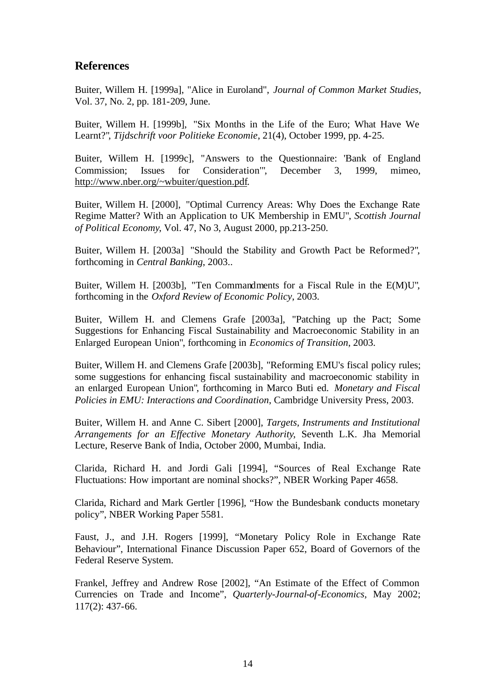## **References**

Buiter, Willem H. [1999a], "Alice in Euroland", *Journal of Common Market Studies*, Vol. 37, No. 2, pp. 181-209, June.

Buiter, Willem H. [1999b], "Six Months in the Life of the Euro; What Have We Learnt?", *Tijdschrift voor Politieke Economie*, 21(4), October 1999, pp. 4-25.

Buiter, Willem H. [1999c], "Answers to the Questionnaire: 'Bank of England Commission; Issues for Consideration'", December 3, 1999, mimeo, http://www.nber.org/~wbuiter/question.pdf.

Buiter, Willem H. [2000], "Optimal Currency Areas: Why Does the Exchange Rate Regime Matter? With an Application to UK Membership in EMU", *Scottish Journal of Political Economy*, Vol. 47, No 3, August 2000, pp.213-250.

Buiter, Willem H. [2003a] "Should the Stability and Growth Pact be Reformed?", forthcoming in *Central Banking*, 2003..

Buiter, Willem H. [2003b], "Ten Commandments for a Fiscal Rule in the E(M)U", forthcoming in the *Oxford Review of Economic Policy*, 2003.

Buiter, Willem H. and Clemens Grafe [2003a], "Patching up the Pact; Some Suggestions for Enhancing Fiscal Sustainability and Macroeconomic Stability in an Enlarged European Union", forthcoming in *Economics of Transition*, 2003.

Buiter, Willem H. and Clemens Grafe [2003b], "Reforming EMU's fiscal policy rules; some suggestions for enhancing fiscal sustainability and macroeconomic stability in an enlarged European Union", forthcoming in Marco Buti ed. *Monetary and Fiscal Policies in EMU: Interactions and Coordination*, Cambridge University Press, 2003.

Buiter, Willem H. and Anne C. Sibert [2000], *Targets, Instruments and Institutional Arrangements for an Effective Monetary Authority*, Seventh L.K. Jha Memorial Lecture, Reserve Bank of India, October 2000, Mumbai, India.

Clarida, Richard H. and Jordi Gali [1994], "Sources of Real Exchange Rate Fluctuations: How important are nominal shocks?", NBER Working Paper 4658.

Clarida, Richard and Mark Gertler [1996], "How the Bundesbank conducts monetary policy", NBER Working Paper 5581.

Faust, J., and J.H. Rogers [1999], "Monetary Policy Role in Exchange Rate Behaviour", International Finance Discussion Paper 652, Board of Governors of the Federal Reserve System.

Frankel, Jeffrey and Andrew Rose [2002], "An Estimate of the Effect of Common Currencies on Trade and Income", *Quarterly-Journal-of-Economics,* May 2002; 117(2): 437-66.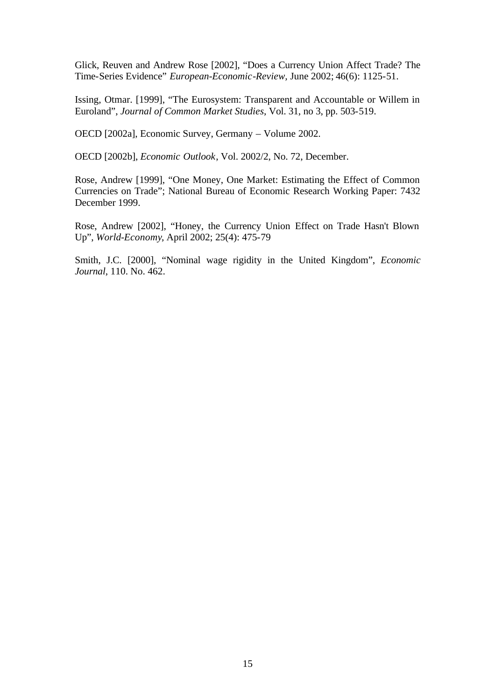Glick, Reuven and Andrew Rose [2002], "Does a Currency Union Affect Trade? The Time-Series Evidence" *European-Economic-Review,* June 2002; 46(6): 1125-51.

Issing, Otmar. [1999], "The Eurosystem: Transparent and Accountable or Willem in Euroland", *Journal of Common Market Studies*, Vol. 31, no 3, pp. 503-519.

OECD [2002a], Economic Survey, Germany – Volume 2002.

OECD [2002b], *Economic Outlook*, Vol. 2002/2, No. 72, December.

Rose, Andrew [1999], "One Money, One Market: Estimating the Effect of Common Currencies on Trade"; National Bureau of Economic Research Working Paper: 7432 December 1999.

Rose, Andrew [2002], "Honey, the Currency Union Effect on Trade Hasn't Blown Up", *World-Economy*, April 2002; 25(4): 475-79

Smith, J.C. [2000], "Nominal wage rigidity in the United Kingdom", *Economic Journal*, 110. No. 462.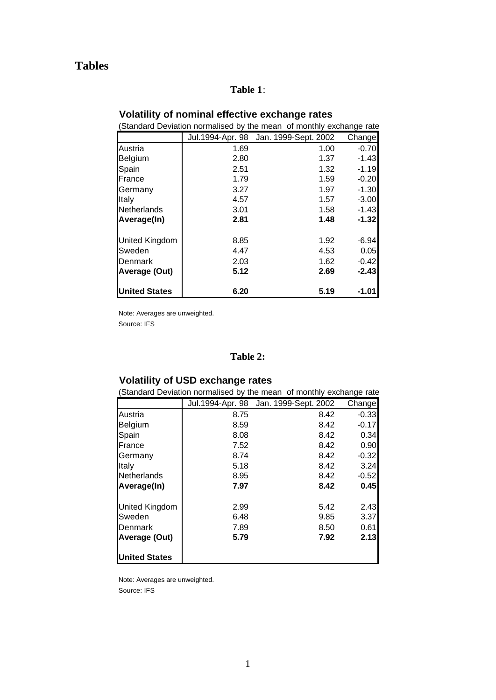# **Tables**

## **Table 1**:

#### **Volatility of nominal effective exchange rates**

| (Standard Deviation normalised by the mean of monthly exchange rate |      |                                       |         |  |  |  |  |  |
|---------------------------------------------------------------------|------|---------------------------------------|---------|--|--|--|--|--|
|                                                                     |      | Jul.1994-Apr. 98 Jan. 1999-Sept. 2002 | Changel |  |  |  |  |  |
| Austria                                                             | 1.69 | 1.00                                  | $-0.70$ |  |  |  |  |  |
| Belgium                                                             | 2.80 | 1.37                                  | $-1.43$ |  |  |  |  |  |
| Spain                                                               | 2.51 | 1.32                                  | $-1.19$ |  |  |  |  |  |
| <b>France</b>                                                       | 1.79 | 1.59                                  | $-0.20$ |  |  |  |  |  |
| Germany                                                             | 3.27 | 1.97                                  | $-1.30$ |  |  |  |  |  |
| Italy                                                               | 4.57 | 1.57                                  | $-3.00$ |  |  |  |  |  |
| Netherlands                                                         | 3.01 | 1.58                                  | $-1.43$ |  |  |  |  |  |
| Average(In)                                                         | 2.81 | 1.48                                  | $-1.32$ |  |  |  |  |  |
| <b>United Kingdom</b>                                               | 8.85 | 1.92                                  | $-6.94$ |  |  |  |  |  |
| Sweden                                                              | 4.47 | 4.53                                  | 0.05    |  |  |  |  |  |
| <b>I</b> Denmark                                                    | 2.03 | 1.62                                  | $-0.42$ |  |  |  |  |  |
| Average (Out)                                                       | 5.12 | 2.69                                  | $-2.43$ |  |  |  |  |  |
| <b>United States</b>                                                | 6.20 | 5.19                                  | -1.01   |  |  |  |  |  |

Note: Averages are unweighted. Source: IFS

### **Table 2:**

## **Volatility of USD exchange rates**

| Standard Deviation normalised by the mean of monthly exchange rate |      |                                        |         |  |  |  |  |  |
|--------------------------------------------------------------------|------|----------------------------------------|---------|--|--|--|--|--|
|                                                                    |      | Jul. 1994-Apr. 98 Jan. 1999-Sept. 2002 | Change  |  |  |  |  |  |
| Austria                                                            | 8.75 | 8.42                                   | $-0.33$ |  |  |  |  |  |
| <b>Belgium</b>                                                     | 8.59 | 8.42                                   | $-0.17$ |  |  |  |  |  |
| Spain                                                              | 8.08 | 8.42                                   | 0.34    |  |  |  |  |  |
| France                                                             | 7.52 | 8.42                                   | 0.90    |  |  |  |  |  |
| Germany                                                            | 8.74 | 8.42                                   | $-0.32$ |  |  |  |  |  |
| Italy                                                              | 5.18 | 8.42                                   | 3.24    |  |  |  |  |  |
| <b>Netherlands</b>                                                 | 8.95 | 8.42                                   | $-0.52$ |  |  |  |  |  |
| Average(In)                                                        | 7.97 | 8.42                                   | 0.45    |  |  |  |  |  |
| <b>United Kingdom</b>                                              | 2.99 | 5.42                                   | 2.43    |  |  |  |  |  |
| <b>Sweden</b>                                                      | 6.48 | 9.85                                   | 3.37    |  |  |  |  |  |
| Denmark                                                            | 7.89 | 8.50                                   | 0.61    |  |  |  |  |  |
| <b>Average (Out)</b>                                               | 5.79 | 7.92                                   | 2.13    |  |  |  |  |  |
| <b>United States</b>                                               |      |                                        |         |  |  |  |  |  |

Note: Averages are unweighted. Source: IFS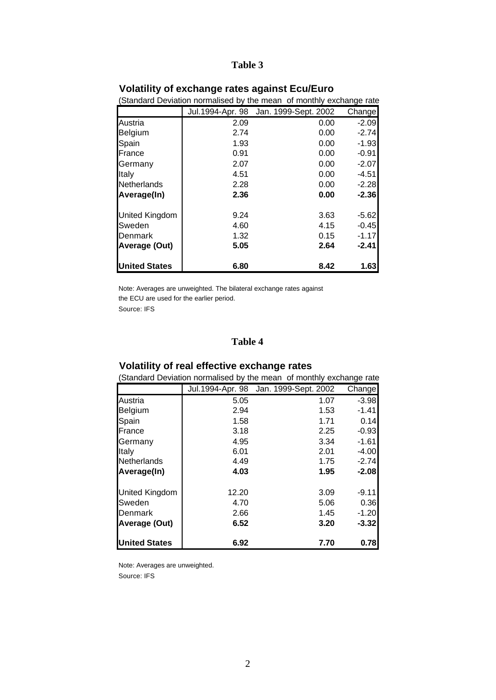### **Table 3**

| Standard Deviation normalised by the mean of monthly exchange rate |      |                                        |         |  |  |  |  |  |
|--------------------------------------------------------------------|------|----------------------------------------|---------|--|--|--|--|--|
|                                                                    |      | Jul. 1994-Apr. 98 Jan. 1999-Sept. 2002 | Changel |  |  |  |  |  |
| Austria                                                            | 2.09 | 0.00                                   | $-2.09$ |  |  |  |  |  |
| Belgium                                                            | 2.74 | 0.00                                   | $-2.74$ |  |  |  |  |  |
| Spain                                                              | 1.93 | 0.00                                   | $-1.93$ |  |  |  |  |  |
| France                                                             | 0.91 | 0.00                                   | $-0.91$ |  |  |  |  |  |
| Germany                                                            | 2.07 | 0.00                                   | $-2.07$ |  |  |  |  |  |
| Italy                                                              | 4.51 | 0.00                                   | $-4.51$ |  |  |  |  |  |
| <b>Netherlands</b>                                                 | 2.28 | 0.00                                   | $-2.28$ |  |  |  |  |  |
| Average(In)                                                        | 2.36 | 0.00                                   | $-2.36$ |  |  |  |  |  |
| United Kingdom                                                     | 9.24 | 3.63                                   | $-5.62$ |  |  |  |  |  |
| <b>Sweden</b>                                                      | 4.60 | 4.15                                   | $-0.45$ |  |  |  |  |  |
| Denmark                                                            | 1.32 | 0.15                                   | $-1.17$ |  |  |  |  |  |
| Average (Out)                                                      | 5.05 | 2.64                                   | $-2.41$ |  |  |  |  |  |
| <b>United States</b>                                               | 6.80 | 8.42                                   | 1.63    |  |  |  |  |  |

#### **Volatility of exchange rates against Ecu/Euro**

Note: Averages are unweighted. The bilateral exchange rates against the ECU are used for the earlier period.

Source: IFS

### **Table 4**

## **Volatility of real effective exchange rates**

| (Standard Deviation normalised by the mean of monthly exchange rate |       |                                       |         |  |  |  |  |  |
|---------------------------------------------------------------------|-------|---------------------------------------|---------|--|--|--|--|--|
|                                                                     |       | Jul.1994-Apr. 98 Jan. 1999-Sept. 2002 | Changel |  |  |  |  |  |
| Austria                                                             | 5.05  | 1.07                                  | $-3.98$ |  |  |  |  |  |
| <b>Belgium</b>                                                      | 2.94  | 1.53                                  | $-1.41$ |  |  |  |  |  |
| Spain                                                               | 1.58  | 1.71                                  | 0.14    |  |  |  |  |  |
| France                                                              | 3.18  | 2.25                                  | $-0.93$ |  |  |  |  |  |
| Germany                                                             | 4.95  | 3.34                                  | $-1.61$ |  |  |  |  |  |
| Italy                                                               | 6.01  | 2.01                                  | $-4.00$ |  |  |  |  |  |
| <b>Netherlands</b>                                                  | 4.49  | 1.75                                  | $-2.74$ |  |  |  |  |  |
| Average(In)                                                         | 4.03  | 1.95                                  | $-2.08$ |  |  |  |  |  |
| United Kingdom                                                      | 12.20 | 3.09                                  | $-9.11$ |  |  |  |  |  |
| <b>Sweden</b>                                                       | 4.70  | 5.06                                  | 0.36    |  |  |  |  |  |
| Denmark                                                             | 2.66  | 1.45                                  | $-1.20$ |  |  |  |  |  |
| Average (Out)                                                       | 6.52  | 3.20                                  | $-3.32$ |  |  |  |  |  |
| <b>United States</b>                                                | 6.92  | 7.70                                  | 0.78    |  |  |  |  |  |

Note: Averages are unweighted. Source: IFS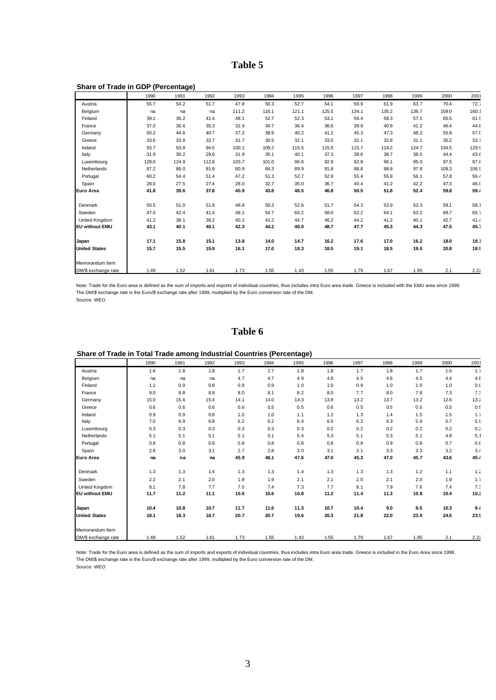### **Table 5**

| Share of Trade in GDP (Percentage) |       |       |       |       |       |       |       |       |       |       |       |       |
|------------------------------------|-------|-------|-------|-------|-------|-------|-------|-------|-------|-------|-------|-------|
|                                    | 1990  | 1991  | 1992  | 1993  | 1994  | 1995  | 1996  | 1997  | 1998  | 1999  | 2000  | 2001  |
| Austria                            | 55.7  | 54.2  | 51.7  | 47.8  | 50.3  | 52.7  | 54.1  | 59.9  | 61.9  | 63.7  | 70.4  | 72.7  |
| Belgium                            | na    | na    | na    | 111.2 | 116.1 | 121.1 | 125.5 | 134.1 | 135.2 | 136.7 | 159.0 | 160.1 |
| Finland                            | 39.1  | 36.2  | 41.4  | 48.1  | 52.7  | 52.3  | 53.1  | 56.4  | 58.3  | 57.1  | 65.5  | 61.9  |
| France                             | 37.0  | 36.6  | 35.3  | 32.4  | 34.7  | 36.4  | 36.6  | 39.9  | 40.9  | 41.2  | 46.4  | 44.8  |
| Germany                            | 50.2  | 44.6  | 40.7  | 37.2  | 38.9  | 40.2  | 41.2  | 45.3  | 47.3  | 48.2  | 55.8  | 57.0  |
| Greece                             | 33.6  | 33.8  | 32.7  | 31.7  | 30.5  | 32.1  | 33.5  | 32.1  | 32.8  | 31.1  | 35.2  | 33.7  |
| Ireland                            | 93.7  | 93.8  | 94.5  | 100.1 | 109.2 | 115.5 | 115.5 | 115.7 | 119.2 | 124.7 | 134.5 | 129.9 |
| Italy                              | 31.9  | 30.2  | 29.6  | 31.9  | 35.1  | 40.1  | 37.3  | 38.6  | 38.7  | 38.5  | 44.4  | 43.6  |
| Luxembourg                         | 129.0 | 124.9 | 112.8 | 103.7 | 101.0 | 96.6  | 92.9  | 92.8  | 96.1  | 95.0  | 97.5  | 97.8  |
| Netherlands                        | 87.2  | 86.0  | 81.9  | 80.9  | 84.3  | 89.9  | 91.8  | 98.8  | 98.8  | 97.8  | 109.3 | 106.9 |
| Portugal                           | 60.2  | 54.4  | 51.4  | 47.2  | 51.3  | 52.7  | 52.9  | 55.4  | 55.9  | 56.1  | 57.8  | 56.4  |
| Spain                              | 28.0  | 27.5  | 27.4  | 28.0  | 32.7  | 35.0  | 36.7  | 40.4  | 41.2  | 42.2  | 47.3  | 46.0  |
| Euro Area                          | 41.8  | 39.6  | 37.8  | 40.9  | 43.8  | 46.5  | 46.8  | 50.5  | 51.8  | 52.4  | 59.8  | 59.4  |
| Denmark                            | 50.5  | 51.0  | 51.8  | 48.8  | 50.3  | 52.6  | 51.7  | 54.3  | 53.9  | 53.3  | 58.1  | 58.1  |
| Sweden                             | 47.0  | 42.4  | 41.4  | 48.1  | 54.7  | 60.2  | 58.0  | 62.2  | 64.1  | 63.2  | 69.7  | 65.7  |
| United Kingdom                     | 41.2  | 38.1  | 38.2  | 40.2  | 41.2  | 44.7  | 46.2  | 44.2  | 41.2  | 40.1  | 42.7  | 41.4  |
| <b>EU without EMU</b>              | 43.1  | 40.1  | 40.1  | 42.3  | 44.2  | 48.0  | 48.7  | 47.7  | 45.3  | 44.3  | 47.5  | 45.7  |
| Japan                              | 17.1  | 15.8  | 15.1  | 13.8  | 14.0  | 14.7  | 16.2  | 17.6  | 17.0  | 16.2  | 18.0  | 18.1  |
| <b>United States</b>               | 15.7  | 15.5  | 15.9  | 16.1  | 17.0  | 18.3  | 18.5  | 19.1  | 18.5  | 19.0  | 20.8  | 18.9  |
| Memorandum Item                    |       |       |       |       |       |       |       |       |       |       |       |       |
| DM/\$ exchange rate                | 1.49  | 1.52  | 1.61  | 1.73  | 1.55  | 1.43  | 1.55  | 1.79  | 1.67  | 1.95  | 2.1   | 2.22  |

Note: Trade for the Euro area is defined as the sum of imports and exports of individual countries, thus includes intra Euro area trade. Greece is included with the EMU area since 1999. The DM/\$ exchange rate is the Euro/\$ exchange rate after 1999, multiplied by the Euro conversion rate of the DM. Source: WEO

#### **Table 6**

|                       | 1990 | 1991 | 1992 | 1993 | 1994 | 1995 | 1996 | 1997 | 1998 | 1999 | 2000 | 2001 |
|-----------------------|------|------|------|------|------|------|------|------|------|------|------|------|
| Austria               | 1.8  | 1.8  | 1.8  | 1.7  | 1.7  | 1.8  | 1.8  | 1.7  | 1.8  | 1.7  | 1.6  | 1.7  |
| Belgium               | na   | na   | na   | 4.7  | 4.7  | 4.9  | 4.8  | 4.5  | 4.6  | 4.5  | 4.4  | 4.6  |
| Finland               | 1.1  | 0.9  | 0.8  | 0.8  | 0.9  | 1.0  | 1.0  | 0.9  | 1.0  | 1.0  | 1.0  | 0.9  |
| France                | 9.0  | 8.8  | 8.9  | 8.0  | 8.1  | 8.2  | 8.0  | 7.7  | 8.0  | 7.8  | 7.3  | 7.3  |
| Germany               | 15.0 | 15.6 | 15.4 | 14.1 | 14.0 | 14.3 | 13.8 | 13.2 | 13.7 | 13.2 | 12.6 | 13.2 |
| Greece                | 0.6  | 0.6  | 0.6  | 0.6  | 0.5  | 0.5  | 0.6  | 0.5  | 0.5  | 0.5  | 0.5  | 0.5  |
| Ireland               | 0.9  | 0.9  | 0.9  | 1.0  | 1.0  | 1.1  | 1.2  | 1.3  | 1.4  | 1.5  | 1.5  | 1.7  |
| Italy                 | 7.0  | 6.9  | 6.8  | 6.2  | 6.2  | 6.4  | 6.5  | 6.2  | 6.3  | 5.9  | 5.7  | 5.9  |
| Luxembourg            | 0.3  | 0.3  | 0.3  | 0.3  | 0.3  | 0.3  | 0.2  | 0.2  | 0.2  | 0.2  | 0.2  | 0.2  |
| Netherlands           | 5.1  | 5.1  | 5.1  | 5.1  | 5.1  | 5.4  | 5.3  | 5.1  | 5.3  | 5.1  | 4.9  | 5.1  |
| Portugal              | 0.8  | 0.8  | 0.9  | 0.8  | 0.8  | 0.8  | 0.8  | 0.8  | 0.9  | 0.8  | 0.7  | 0.8  |
| Spain                 | 2.8  | 3.0  | 3.1  | 2.7  | 2.8  | 3.0  | 3.1  | 3.1  | 3.3  | 3.3  | 3.2  | 3.4  |
| <b>Euro Area</b>      | na   | na   | na   | 45.9 | 46.1 | 47.6 | 47.0 | 45.3 | 47.0 | 45.7 | 43.6 | 45.4 |
| Denmark               | 1.3  | 1.3  | 1.4  | 1.3  | 1.3  | 1.4  | 1.3  | 1.3  | 1.3  | 1.2  | 1.1  | 1.2  |
| Sweden                | 2.2  | 2.1  | 2.0  | 1.8  | 1.9  | 2.1  | 2.1  | 2.0  | 2.1  | 2.0  | 1.9  | 1.7  |
| United Kingdom        | 8.1  | 7.8  | 7.7  | 7.5  | 7.4  | 7.3  | 7.7  | 8.1  | 7.9  | 7.6  | 7.4  | 7.3  |
| <b>EU without EMU</b> | 11.7 | 11.2 | 11.1 | 10.6 | 10.6 | 10.8 | 11.2 | 11.4 | 11.3 | 10.8 | 10.4 | 10.2 |
| Japan                 | 10.4 | 10.8 | 10.7 | 11.7 | 11.6 | 11.3 | 10.7 | 10.4 | 9.0  | 9.5  | 10.3 | 9.4  |
| <b>United States</b>  | 18.1 | 18.3 | 18.7 | 20.7 | 20.7 | 19.6 | 20.3 | 21.8 | 22.0 | 23.0 | 24.5 | 23.9 |
| Memorandum Item       |      |      |      |      |      |      |      |      |      |      |      |      |
| DM/\$ exchange rate   | 1.49 | 1.52 | 1.61 | 1.73 | 1.55 | 1.43 | 1.55 | 1.79 | 1.67 | 1.95 | 2.1  | 2.22 |

#### **Share of Trade in Total Trade among Industrial Countries (Percentage)**

Note: Trade for the Euro area is defined as the sum of imports and exports of individual countries, thus includes intra Euro area trade. Greece is included in the Euro Area since 1999. The DM/\$ exchange rate is the Euro/\$ exchange rate after 1999, multiplied by the Euro conversion rate of the DM.

Source: WEO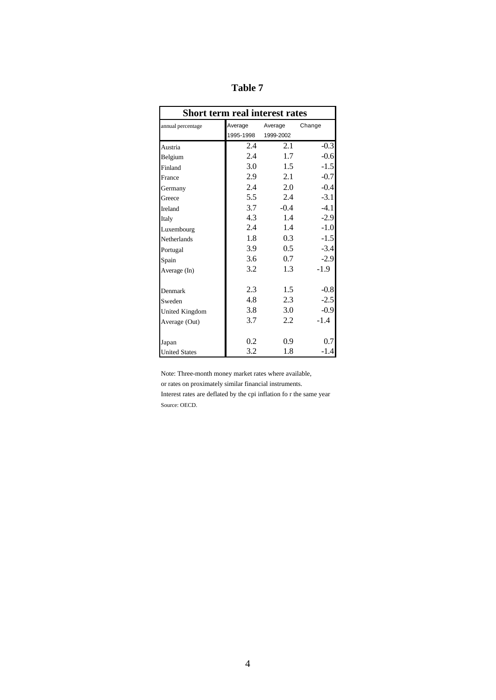| Short term real interest rates |           |           |        |  |  |  |  |  |  |  |
|--------------------------------|-----------|-----------|--------|--|--|--|--|--|--|--|
| annual percentage              | Average   | Average   | Change |  |  |  |  |  |  |  |
|                                | 1995-1998 | 1999-2002 |        |  |  |  |  |  |  |  |
| Austria                        | 2.4       | 2.1       | $-0.3$ |  |  |  |  |  |  |  |
| Belgium                        | 2.4       | 1.7       | $-0.6$ |  |  |  |  |  |  |  |
| Finland                        | 3.0       | 1.5       | $-1.5$ |  |  |  |  |  |  |  |
| France                         | 2.9       | 2.1       | $-0.7$ |  |  |  |  |  |  |  |
| Germany                        | 2.4       | 2.0       | $-0.4$ |  |  |  |  |  |  |  |
| Greece                         | 5.5       | 2.4       | $-3.1$ |  |  |  |  |  |  |  |
| Ireland                        | 3.7       | $-0.4$    | $-4.1$ |  |  |  |  |  |  |  |
| Italy                          | 4.3       | 1.4       | $-2.9$ |  |  |  |  |  |  |  |
| Luxembourg                     | 2.4       | 1.4       | $-1.0$ |  |  |  |  |  |  |  |
| Netherlands                    | 1.8       | 0.3       | $-1.5$ |  |  |  |  |  |  |  |
| Portugal                       | 3.9       | 0.5       | $-3.4$ |  |  |  |  |  |  |  |
| Spain                          | 3.6       | 0.7       | $-2.9$ |  |  |  |  |  |  |  |
| Average (In)                   | 3.2       | 1.3       | $-1.9$ |  |  |  |  |  |  |  |
| Denmark                        | 2.3       | 1.5       | $-0.8$ |  |  |  |  |  |  |  |
| Sweden                         | 4.8       | 2.3       | $-2.5$ |  |  |  |  |  |  |  |
| <b>United Kingdom</b>          | 3.8       | 3.0       | $-0.9$ |  |  |  |  |  |  |  |
| Average (Out)                  | 3.7       | 2.2       | $-1.4$ |  |  |  |  |  |  |  |
| Japan                          | 0.2       | 0.9       | 0.7    |  |  |  |  |  |  |  |
| <b>United States</b>           | 3.2       | 1.8       | $-1.4$ |  |  |  |  |  |  |  |

**Table 7**

Note: Three-month money market rates where available,

or rates on proximately similar financial instruments.

Interest rates are deflated by the cpi inflation fo r the same year Source: OECD.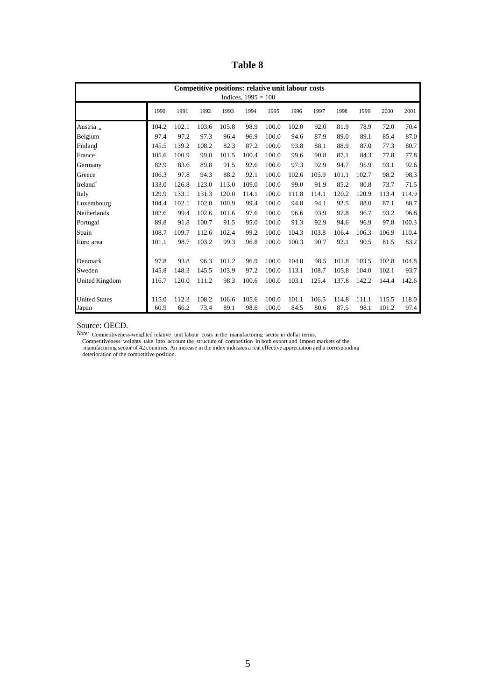**Table 8**

| Competitive positions: relative unit labour costs<br>Indices, $1995 = 100$ |       |       |       |       |       |       |       |       |       |       |       |       |
|----------------------------------------------------------------------------|-------|-------|-------|-------|-------|-------|-------|-------|-------|-------|-------|-------|
|                                                                            | 1990  | 1991  | 1992  | 1993  | 1994  | 1995  | 1996  | 1997  | 1998  | 1999  | 2000  | 2001  |
| Austria <sub>a</sub>                                                       | 104.2 | 102.1 | 103.6 | 105.8 | 98.9  | 100.0 | 102.0 | 92.0  | 81.9  | 78.9  | 72.0  | 70.4  |
| Belgium                                                                    | 97.4  | 97.2  | 97.3  | 96.4  | 96.9  | 100.0 | 94.6  | 87.9  | 89.0  | 89.1  | 85.4  | 87.0  |
| Finland                                                                    | 145.5 | 139.2 | 108.2 | 82.3  | 87.2  | 100.0 | 93.8  | 88.1  | 88.9  | 87.0  | 77.3  | 80.7  |
| France                                                                     | 105.6 | 100.9 | 99.0  | 101.5 | 100.4 | 100.0 | 99.6  | 90.8  | 87.1  | 84.3  | 77.8  | 77.8  |
| Germany                                                                    | 82.9  | 83.6  | 89.8  | 91.5  | 92.6  | 100.0 | 97.3  | 92.9  | 94.7  | 95.9  | 93.1  | 92.6  |
| Greece                                                                     | 106.3 | 97.8  | 94.3  | 88.2  | 92.1  | 100.0 | 102.6 | 105.9 | 101.1 | 102.7 | 98.2  | 98.3  |
| Ireland $c$                                                                | 133.0 | 126.8 | 123.0 | 113.0 | 109.0 | 100.0 | 99.0  | 91.9  | 85.2  | 80.8  | 73.7  | 71.5  |
| Italy                                                                      | 129.9 | 133.1 | 131.3 | 120.0 | 114.1 | 100.0 | 111.8 | 114.1 | 120.2 | 120.9 | 113.4 | 114.9 |
| Luxembourg                                                                 | 104.4 | 102.1 | 102.0 | 100.9 | 99.4  | 100.0 | 94.8  | 94.1  | 92.5  | 88.0  | 87.1  | 88.7  |
| Netherlands                                                                | 102.6 | 99.4  | 102.6 | 101.6 | 97.6  | 100.0 | 96.6  | 93.9  | 97.8  | 96.7  | 93.2  | 96.8  |
| Portugal                                                                   | 89.8  | 91.8  | 100.7 | 91.5  | 95.0  | 100.0 | 91.3  | 92.9  | 94.6  | 96.9  | 97.8  | 100.3 |
| Spain                                                                      | 108.7 | 109.7 | 112.6 | 102.4 | 99.2  | 100.0 | 104.3 | 103.8 | 106.4 | 106.3 | 106.9 | 110.4 |
| Euro area                                                                  | 101.1 | 98.7  | 103.2 | 99.3  | 96.8  | 100.0 | 100.3 | 90.7  | 92.1  | 90.5  | 81.5  | 83.2  |
| Denmark                                                                    | 97.8  | 93.8  | 96.3  | 101.2 | 96.9  | 100.0 | 104.0 | 98.5  | 101.8 | 103.5 | 102.8 | 104.8 |
| Sweden                                                                     | 145.8 | 148.3 | 145.5 | 103.9 | 97.2  | 100.0 | 113.1 | 108.7 | 105.8 | 104.0 | 102.1 | 93.7  |
| United Kingdom                                                             | 116.7 | 120.0 | 111.2 | 98.3  | 100.6 | 100.0 | 103.1 | 125.4 | 137.8 | 142.2 | 144.4 | 142.6 |
| <b>United States</b>                                                       | 115.0 | 112.3 | 108.2 | 106.6 | 105.6 | 100.0 | 101.1 | 106.5 | 114.8 | 111.1 | 115.5 | 118.0 |
| Japan                                                                      | 60.9  | 66.2  | 73.4  | 89.1  | 98.6  | 100.0 | 84.5  | 80.6  | 87.5  | 98.1  | 101.2 | 97.4  |

Source: OECD.

*Note:* Competitiveness-weighted relative unit labour costs in the manufactoring sector in dollar terms.

Competitiveness weights take into account the structure of competition in both export and import markets of the<br>manufacturing sector of 42 countries. An increase in the index indicates a real effective appreciation and a c

deterioration of the competitive position.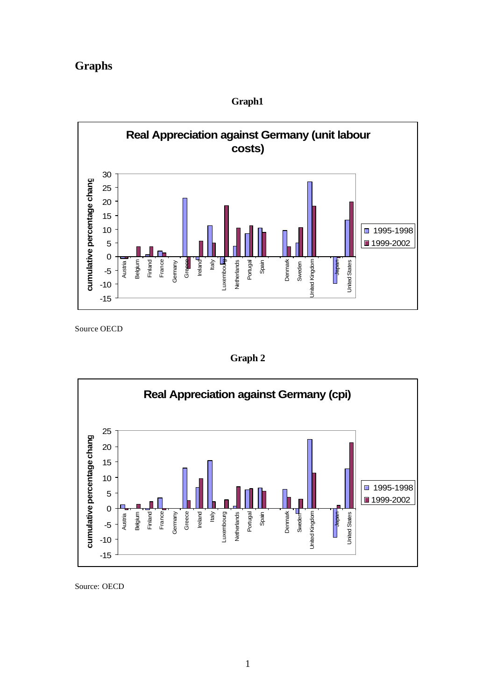# **Graphs**



**Graph1**

Source OECD

**Graph 2**



Source: OECD